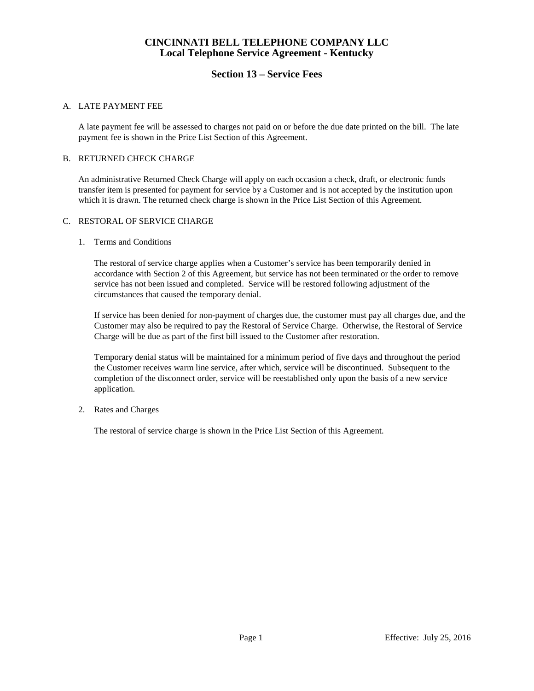## **CINCINNATI BELL TELEPHONE COMPANY LLC Local Telephone Service Agreement - Kentucky**

# **Section 13 – Service Fees**

## A. LATE PAYMENT FEE

A late payment fee will be assessed to charges not paid on or before the due date printed on the bill. The late payment fee is shown in the Price List Section of this Agreement.

### B. RETURNED CHECK CHARGE

An administrative Returned Check Charge will apply on each occasion a check, draft, or electronic funds transfer item is presented for payment for service by a Customer and is not accepted by the institution upon which it is drawn. The returned check charge is shown in the Price List Section of this Agreement.

### C. RESTORAL OF SERVICE CHARGE

### 1. Terms and Conditions

The restoral of service charge applies when a Customer's service has been temporarily denied in accordance with Section 2 of this Agreement, but service has not been terminated or the order to remove service has not been issued and completed. Service will be restored following adjustment of the circumstances that caused the temporary denial.

If service has been denied for non-payment of charges due, the customer must pay all charges due, and the Customer may also be required to pay the Restoral of Service Charge. Otherwise, the Restoral of Service Charge will be due as part of the first bill issued to the Customer after restoration.

Temporary denial status will be maintained for a minimum period of five days and throughout the period the Customer receives warm line service, after which, service will be discontinued. Subsequent to the completion of the disconnect order, service will be reestablished only upon the basis of a new service application.

### 2. Rates and Charges

The restoral of service charge is shown in the Price List Section of this Agreement.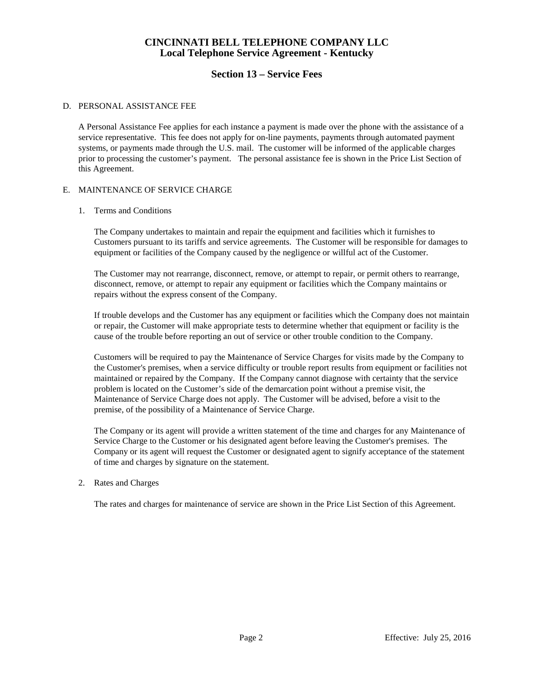# **CINCINNATI BELL TELEPHONE COMPANY LLC Local Telephone Service Agreement - Kentucky**

# **Section 13 – Service Fees**

## D. PERSONAL ASSISTANCE FEE

A Personal Assistance Fee applies for each instance a payment is made over the phone with the assistance of a service representative. This fee does not apply for on-line payments, payments through automated payment systems, or payments made through the U.S. mail. The customer will be informed of the applicable charges prior to processing the customer's payment. The personal assistance fee is shown in the Price List Section of this Agreement.

### E. MAINTENANCE OF SERVICE CHARGE

### 1. Terms and Conditions

The Company undertakes to maintain and repair the equipment and facilities which it furnishes to Customers pursuant to its tariffs and service agreements. The Customer will be responsible for damages to equipment or facilities of the Company caused by the negligence or willful act of the Customer.

The Customer may not rearrange, disconnect, remove, or attempt to repair, or permit others to rearrange, disconnect, remove, or attempt to repair any equipment or facilities which the Company maintains or repairs without the express consent of the Company.

If trouble develops and the Customer has any equipment or facilities which the Company does not maintain or repair, the Customer will make appropriate tests to determine whether that equipment or facility is the cause of the trouble before reporting an out of service or other trouble condition to the Company.

Customers will be required to pay the Maintenance of Service Charges for visits made by the Company to the Customer's premises, when a service difficulty or trouble report results from equipment or facilities not maintained or repaired by the Company. If the Company cannot diagnose with certainty that the service problem is located on the Customer's side of the demarcation point without a premise visit, the Maintenance of Service Charge does not apply. The Customer will be advised, before a visit to the premise, of the possibility of a Maintenance of Service Charge.

The Company or its agent will provide a written statement of the time and charges for any Maintenance of Service Charge to the Customer or his designated agent before leaving the Customer's premises. The Company or its agent will request the Customer or designated agent to signify acceptance of the statement of time and charges by signature on the statement.

### 2. Rates and Charges

The rates and charges for maintenance of service are shown in the Price List Section of this Agreement.